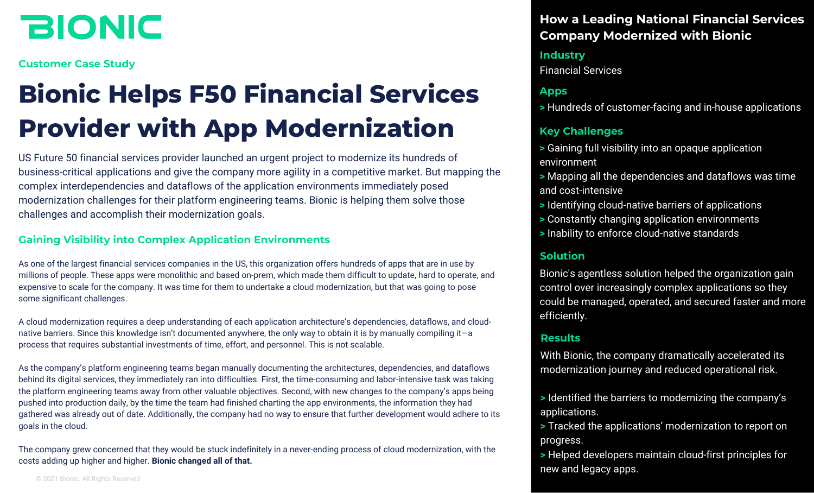# **BIONIC**

**Customer Case Study**

# **Bionic Helps F50 Financial Services Provider with App Modernization**

US Future 50 financial services provider launched an urgent project to modernize its hundreds of business-critical applications and give the company more agility in a competitive market. But mapping the complex interdependencies and dataflows of the application environments immediately posed modernization challenges for their platform engineering teams. Bionic is helping them solve those challenges and accomplish their modernization goals.

#### **Gaining Visibility into Complex Application Environments**

As one of the largest financial services companies in the US, this organization offers hundreds of apps that are in use by millions of people. These apps were monolithic and based on-prem, which made them difficult to update, hard to operate, and expensive to scale for the company. It was time for them to undertake a cloud modernization, but that was going to pose some significant challenges.

A cloud modernization requires a deep understanding of each application architecture's dependencies, dataflows, and cloudnative barriers. Since this knowledge isn't documented anywhere, the only way to obtain it is by manually compiling it—a process that requires substantial investments of time, effort, and personnel. This is not scalable.

As the company's platform engineering teams began manually documenting the architectures, dependencies, and dataflows behind its digital services, they immediately ran into difficulties. First, the time-consuming and labor-intensive task was taking the platform engineering teams away from other valuable objectives. Second, with new changes to the company's apps being pushed into production daily, by the time the team had finished charting the app environments, the information they had gathered was already out of date. Additionally, the company had no way to ensure that further development would adhere to its goals in the cloud.

The company grew concerned that they would be stuck indefinitely in a never-ending process of cloud modernization, with the costs adding up higher and higher. **Bionic changed all of that.**

© 2021 Bionic. All Rights Reserved

## **How a Leading National Financial Services Company Modernized with Bionic**

### **Industry**

Financial Services

#### **Apps**

**>** Hundreds of customer-facing and in-house applications

#### **Key Challenges**

- **>** Gaining full visibility into an opaque application environment
- **>** Mapping all the dependencies and dataflows was time and cost-intensive
- **>** Identifying cloud-native barriers of applications
- **>** Constantly changing application environments
- **>** Inability to enforce cloud-native standards

#### **Solution**

Bionic's agentless solution helped the organization gain control over increasingly complex applications so they could be managed, operated, and secured faster and more efficiently.

#### **Results**

With Bionic, the company dramatically accelerated its modernization journey and reduced operational risk.

- **>** Identified the barriers to modernizing the company's applications.
- **>** Tracked the applications' modernization to report on progress.
- **>** Helped developers maintain cloud-first principles for new and legacy apps.